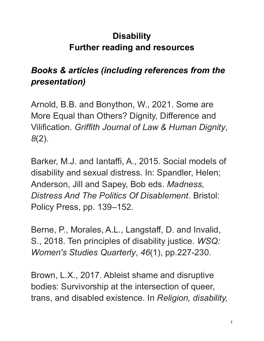## **Disability Further reading and resources**

## *Books & articles (including references from the presentation)*

Arnold, B.B. and Bonython, W., 2021. Some are More Equal than Others? Dignity, Difference and Vilification. *Griffith Journal of Law & Human Dignity*, *8*(2).

Barker, M.J. and Iantaffi, A., 2015. Social models of disability and sexual distress. In: Spandler, Helen; Anderson, Jill and Sapey, Bob eds. *Madness, Distress And The Politics Of Disablement.* Bristol: Policy Press, pp. 139–152.

Berne, P., Morales, A.L., Langstaff, D. and Invalid, S., 2018. Ten principles of disability justice. *WSQ: Women's Studies Quarterly*, *46*(1), pp.227-230.

Brown, L.X., 2017. Ableist shame and disruptive bodies: Survivorship at the intersection of queer, trans, and disabled existence. In *Religion, disability,*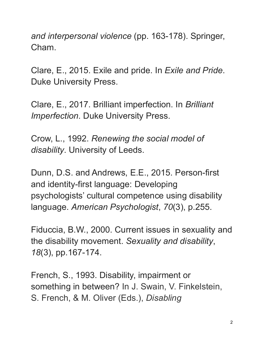*and interpersonal violence* (pp. 163-178). Springer, Cham.

Clare, E., 2015. Exile and pride. In *Exile and Pride*. Duke University Press.

Clare, E., 2017. Brilliant imperfection. In *Brilliant Imperfection*. Duke University Press.

Crow, L., 1992. *Renewing the social model of disability*. University of Leeds.

Dunn, D.S. and Andrews, E.E., 2015. Person-first and identity-first language: Developing psychologists' cultural competence using disability language. *American Psychologist*, *70*(3), p.255.

Fiduccia, B.W., 2000. Current issues in sexuality and the disability movement. *Sexuality and disability*, *18*(3), pp.167-174.

French, S., 1993. Disability, impairment or something in between? In J. Swain, V. Finkelstein, S. French, & M. Oliver (Eds.), *Disabling*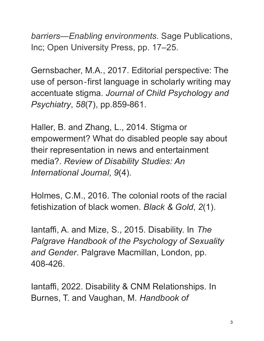*barriers—Enabling environments*. Sage Publications, Inc; Open University Press, pp. 17–25.

Gernsbacher, M.A., 2017. Editorial perspective: The use of person‐first language in scholarly writing may accentuate stigma. *Journal of Child Psychology and Psychiatry*, *58*(7), pp.859-861.

Haller, B. and Zhang, L., 2014. Stigma or empowerment? What do disabled people say about their representation in news and entertainment media?. *Review of Disability Studies: An International Journal*, *9*(4).

Holmes, C.M., 2016. The colonial roots of the racial fetishization of black women. *Black & Gold*, *2*(1).

Iantaffi, A. and Mize, S., 2015. Disability. In *The Palgrave Handbook of the Psychology of Sexuality and Gender*. Palgrave Macmillan, London, pp. 408-426.

Iantaffi, 2022. Disability & CNM Relationships. In Burnes, T. and Vaughan, M. *Handbook of*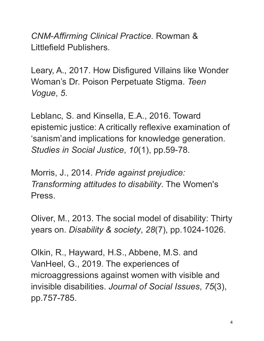*CNM-Affirming Clinical Practice.* Rowman & Littlefield Publishers.

Leary, A., 2017. How Disfigured Villains like Wonder Woman's Dr. Poison Perpetuate Stigma. *Teen Vogue*, *5*.

Leblanc, S. and Kinsella, E.A., 2016. Toward epistemic justice: A critically reflexive examination of 'sanism'and implications for knowledge generation. *Studies in Social Justice*, *10*(1), pp.59-78.

Morris, J., 2014. *Pride against prejudice: Transforming attitudes to disability*. The Women's Press.

Oliver, M., 2013. The social model of disability: Thirty years on. *Disability & society*, *28*(7), pp.1024-1026.

Olkin, R., Hayward, H.S., Abbene, M.S. and VanHeel, G., 2019. The experiences of microaggressions against women with visible and invisible disabilities. *Journal of Social Issues*, *75*(3), pp.757-785.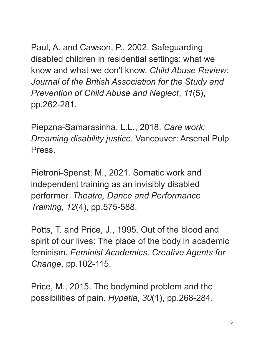Paul, A. and Cawson, P., 2002. Safeguarding disabled children in residential settings: what we know and what we don't know. *Child Abuse Review: Journal of the British Association for the Study and Prevention of Child Abuse and Neglect*, *11*(5), pp.262-281.

Piepzna-Samarasinha, L.L., 2018. *Care work: Dreaming disability justice*. Vancouver: Arsenal Pulp Press.

Pietroni-Spenst, M., 2021. Somatic work and independent training as an invisibly disabled performer. *Theatre, Dance and Performance Training*, *12*(4), pp.575-588.

Potts, T. and Price, J., 1995. Out of the blood and spirit of our lives: The place of the body in academic feminism. *Feminist Academics. Creative Agents for Change*, pp.102-115.

Price, M., 2015. The bodymind problem and the possibilities of pain. *Hypatia*, *30*(1), pp.268-284.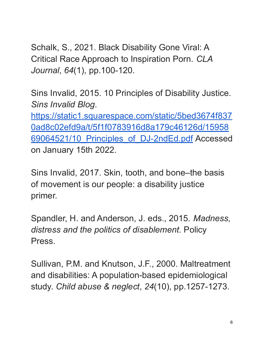Schalk, S., 2021. Black Disability Gone Viral: A Critical Race Approach to Inspiration Porn. *CLA Journal*, *64*(1), pp.100-120.

Sins Invalid, 2015. 10 Principles of Disability Justice. *Sins Invalid Blog*.

[https://static1.squarespace.com/static/5bed3674f837](https://static1.squarespace.com/static/5bed3674f8370ad8c02efd9a/t/5f1f0783916d8a179c46126d/1595869064521/10_Principles_of_DJ-2ndEd.pdf) [0ad8c02efd9a/t/5f1f0783916d8a179c46126d/15958](https://static1.squarespace.com/static/5bed3674f8370ad8c02efd9a/t/5f1f0783916d8a179c46126d/1595869064521/10_Principles_of_DJ-2ndEd.pdf) [69064521/10\\_Principles\\_of\\_DJ-2ndEd.pdf](https://static1.squarespace.com/static/5bed3674f8370ad8c02efd9a/t/5f1f0783916d8a179c46126d/1595869064521/10_Principles_of_DJ-2ndEd.pdf) Accessed on January 15th 2022.

Sins Invalid, 2017. Skin, tooth, and bone–the basis of movement is our people: a disability justice primer.

Spandler, H. and Anderson, J. eds., 2015. *Madness, distress and the politics of disablement*. Policy Press.

Sullivan, P.M. and Knutson, J.F., 2000. Maltreatment and disabilities: A population-based epidemiological study. *Child abuse & neglect*, *24*(10), pp.1257-1273.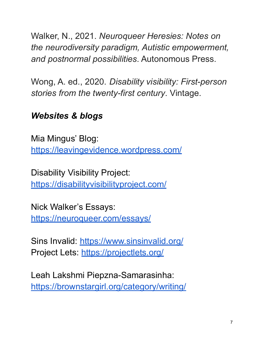Walker, N., 2021. *Neuroqueer Heresies: Notes on the neurodiversity paradigm, Autistic empowerment, and postnormal possibilities*. Autonomous Press.

Wong, A. ed., 2020. *Disability visibility: First-person stories from the twenty-first century*. Vintage.

## *Websites & blogs*

Mia Mingus' Blog: <https://leavingevidence.wordpress.com/>

Disability Visibility Project: <https://disabilityvisibilityproject.com/>

Nick Walker's Essays[:](https://neuroqueer.com/essays/) <https://neuroqueer.com/essays/>

Sins Invalid: <https://www.sinsinvalid.org/> Project Lets: <https://projectlets.org/>

Leah Lakshmi Piepzna-Samarasinha: <https://brownstargirl.org/category/writing/>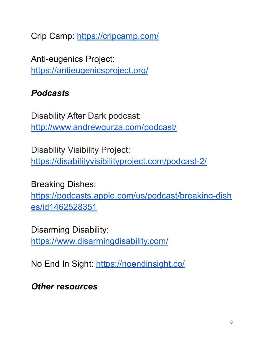Crip Camp: <https://cripcamp.com/>

Anti-eugenics Project: <https://antieugenicsproject.org/>

## *Podcasts*

Disability After Dark podcast: <http://www.andrewgurza.com/podcast/>

Disability Visibility Project: <https://disabilityvisibilityproject.com/podcast-2/>

Breaking Dishes:

[https://podcasts.apple.com/us/podcast/breaking-dish](https://podcasts.apple.com/us/podcast/breaking-dishes/id1462528351) [es/id1462528351](https://podcasts.apple.com/us/podcast/breaking-dishes/id1462528351)

Disarming Disability: <https://www.disarmingdisability.com/>

No End In Sight: <https://noendinsight.co/>

*Other resources*